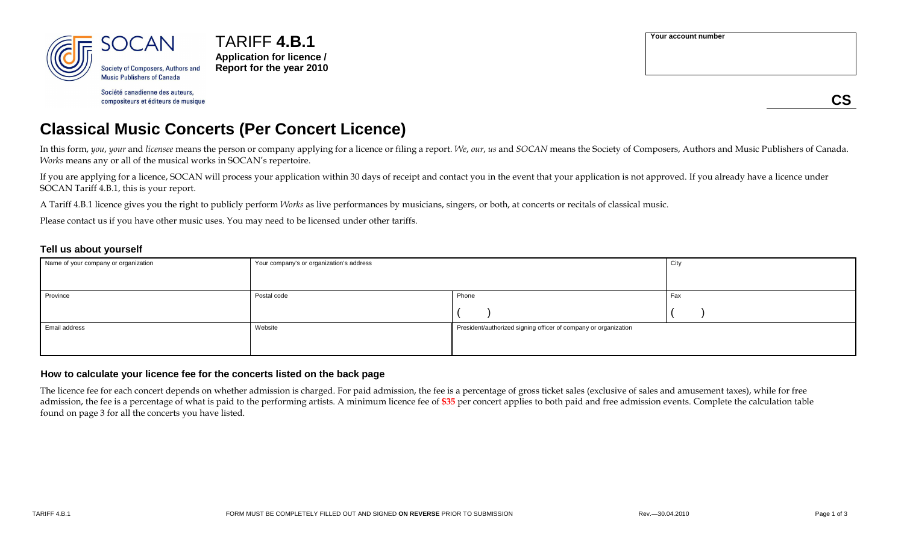

TARIFF **4.B.1 Application for licence / Report for the year 2010**

Société canadienne des auteurs, compositeurs et éditeurs de musique **Your account number**

**CS**

## **Classical Music Concerts (Per Concert Licence)**

In this form, you, your and licensee means the person or company applying for a licence or filing a report. We, our, us and SOCAN means the Society of Composers, Authors and Music Publishers of Canada. *Works* means any or all of the musical works in SOCAN's repertoire.

If you are applying for a licence, SOCAN will process your application within 30 days of receipt and contact you in the event that your application is not approved. If you already have a licence under SOCAN Tariff 4.B.1, this is your report.

A Tariff 4.B.1 licence gives you the right to publicly perform *Works* as live performances by musicians, singers, or both, at concerts or recitals of classical music.

Please contact us if you have other music uses. You may need to be licensed under other tariffs.

#### **Tell us about yourself**

| Name of your company or organization | Your company's or organization's address | City                                                            |     |
|--------------------------------------|------------------------------------------|-----------------------------------------------------------------|-----|
|                                      |                                          |                                                                 |     |
| Province                             | Postal code                              | Phone                                                           | Fax |
|                                      |                                          |                                                                 |     |
| Email address                        | Website                                  | President/authorized signing officer of company or organization |     |
|                                      |                                          |                                                                 |     |

#### **How to calculate your licence fee for the concerts listed on the back page**

The licence fee for each concert depends on whether admission is charged. For paid admission, the fee is a percentage of gross ticket sales (exclusive of sales and amusement taxes), while for free admission, the fee is a percentage of what is paid to the performing artists. A minimum licence fee of **\$35** per concert applies to both paid and free admission events. Complete the calculation table found on page 3 for all the concerts you have listed.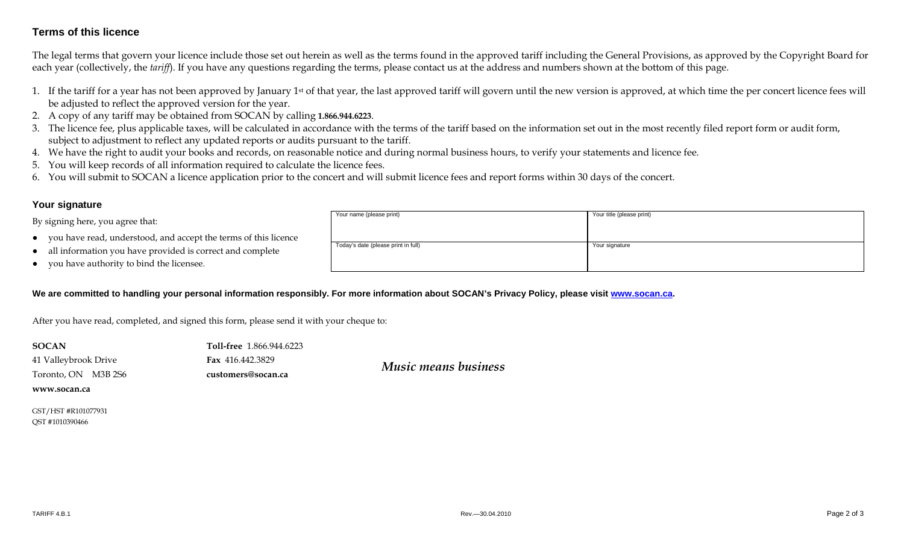### **Terms of this licence**

The legal terms that govern your licence include those set out herein as well as the terms found in the approved tariff including the General Provisions, as approved by the Copyright Board for each year (collectively, the *tariff*). If you have any questions regarding the terms, please contact us at the address and numbers shown at the bottom of this page.

- 1. If the tariff for a year has not been approved by January 1st of that year, the last approved tariff will govern until the new version is approved, at which time the per concert licence fees will be adjusted to reflect the approved version for the year.
- 2. A copy of any tariff may be obtained from SOCAN by calling **1.866.944.6223**.
- 3. The licence fee, plus applicable taxes, will be calculated in accordance with the terms of the tariff based on the information set out in the most recently filed report form or audit form, subject to adjustment to reflect any updated reports or audits pursuant to the tariff.
- 4. We have the right to audit your books and records, on reasonable notice and during normal business hours, to verify your statements and licence fee.
- 5. You will keep records of all information required to calculate the licence fees.
- 6. You will submit to SOCAN a licence application prior to the concert and will submit licence fees and report forms within 30 days of the concert.

#### **Your signature**

By signing here, you agree that:

- ●you have read, understood, and accept the terms of this licence
- ●all information you have provided is correct and complete
- ●you have authority to bind the licensee.

# Your name (please print) Your title (please print) Today's date (please print in full) Today's date (please print in full) Your signature

#### We are committed to handling your personal information responsibly. For more information about SOCAN's Privacy Policy, please visit www.socan.ca.

After you have read, completed, and signed this form, please send it with your cheque to:

| <b>SOCAN</b>         | <b>Toll-free</b> 1.866.944.6223 |                             |  |  |
|----------------------|---------------------------------|-----------------------------|--|--|
| 41 Valleybrook Drive | <b>Fax</b> 416.442.3829         | <b>Music means business</b> |  |  |
| Toronto, ON M3B 2S6  | customers@socan.ca              |                             |  |  |
| www.socan.ca         |                                 |                             |  |  |

GST/HST #R101077931 QST #1010390466